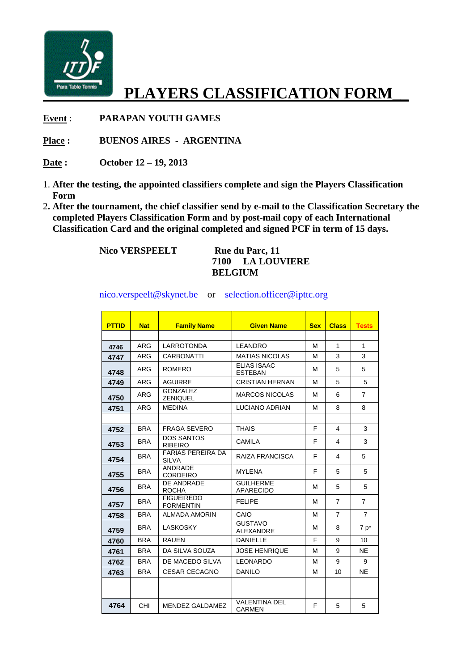

## **PLAYERS CLASSIFICATION FORM\_\_**

**Event** : **PARAPAN YOUTH GAMES** 

**Place : BUENOS AIRES - ARGENTINA** 

- **Date : October 12 19, 2013**
- 1. **After the testing, the appointed classifiers complete and sign the Players Classification Form**
- 2**. After the tournament, the chief classifier send by e-mail to the Classification Secretary the completed Players Classification Form and by post-mail copy of each International Classification Card and the original completed and signed PCF in term of 15 days.**

**Nico VERSPEELT** Rue du Parc, 11

## **7100 LA LOUVIERE BELGIUM**

nico.verspeelt@skynet.be or selection.officer@ipttc.org

| <b>PTTID</b> | <b>Nat</b> | <b>Family Name</b>                       | <b>Given Name</b>                     | <b>Sex</b> | <b>Class</b>   | <b>Tests</b>    |
|--------------|------------|------------------------------------------|---------------------------------------|------------|----------------|-----------------|
|              | ARG        | <b>LARROTONDA</b>                        | <b>LEANDRO</b>                        | м          | $\mathbf{1}$   | 1               |
| 4746         | <b>ARG</b> | <b>CARBONATTI</b>                        | <b>MATIAS NICOLAS</b>                 | м          | 3              | 3               |
| 4747         |            |                                          | <b>ELIAS ISAAC</b>                    |            |                |                 |
| 4748         | ARG        | <b>ROMERO</b>                            | <b>ESTEBAN</b>                        | M          | 5              | 5               |
| 4749         | ARG        | <b>AGUIRRE</b>                           | <b>CRISTIAN HERNAN</b>                | м          | 5              | 5               |
| 4750         | <b>ARG</b> | <b>GONZALEZ</b><br><b>ZENIQUEL</b>       | <b>MARCOS NICOLAS</b>                 | м          | 6              | 7               |
| 4751         | <b>ARG</b> | <b>MEDINA</b>                            | <b>LUCIANO ADRIAN</b>                 | м          | 8              | 8               |
|              |            |                                          |                                       |            |                |                 |
| 4752         | <b>BRA</b> | <b>FRAGA SEVERO</b>                      | <b>THAIS</b>                          | F          | 4              | 3               |
| 4753         | <b>BRA</b> | <b>DOS SANTOS</b><br><b>RIBEIRO</b>      | <b>CAMILA</b>                         | F          | 4              | 3               |
| 4754         | <b>BRA</b> | <b>FARIAS PEREIRA DA</b><br><b>SILVA</b> | RAIZA FRANCISCA                       | F          | 4              | 5               |
| 4755         | <b>BRA</b> | <b>ANDRADE</b><br><b>CORDEIRO</b>        | <b>MYLENA</b>                         | F          | 5              | 5               |
| 4756         | <b>BRA</b> | DE ANDRADE<br><b>ROCHA</b>               | <b>GUILHERME</b><br><b>APARECIDO</b>  | м          | 5              | 5               |
| 4757         | <b>BRA</b> | <b>FIGUEIREDO</b><br><b>FORMENTIN</b>    | <b>FELIPE</b>                         | м          | $\overline{7}$ | $\overline{7}$  |
| 4758         | <b>BRA</b> | <b>ALMADA AMORIN</b>                     | CAIO                                  | м          | $\overline{7}$ | $\overline{7}$  |
| 4759         | <b>BRA</b> | <b>LASKOSKY</b>                          | <b>GUSTAVO</b><br><b>ALEXANDRE</b>    | м          | 8              | $7p^*$          |
| 4760         | <b>BRA</b> | RAUFN                                    | <b>DANIELLE</b>                       | F          | 9              | 10 <sup>1</sup> |
| 4761         | <b>BRA</b> | DA SILVA SOUZA                           | <b>JOSE HENRIQUE</b>                  | м          | 9              | <b>NE</b>       |
| 4762         | <b>BRA</b> | DE MACEDO SILVA                          | <b>LEONARDO</b>                       | M          | 9              | 9               |
| 4763         | <b>BRA</b> | <b>CESAR CECAGNO</b>                     | <b>DANILO</b>                         | M          | 10             | <b>NE</b>       |
|              |            |                                          |                                       |            |                |                 |
|              |            |                                          |                                       |            |                |                 |
| 4764         | <b>CHI</b> | MENDEZ GALDAMEZ                          | <b>VALENTINA DEL</b><br><b>CARMEN</b> | F          | 5              | 5               |